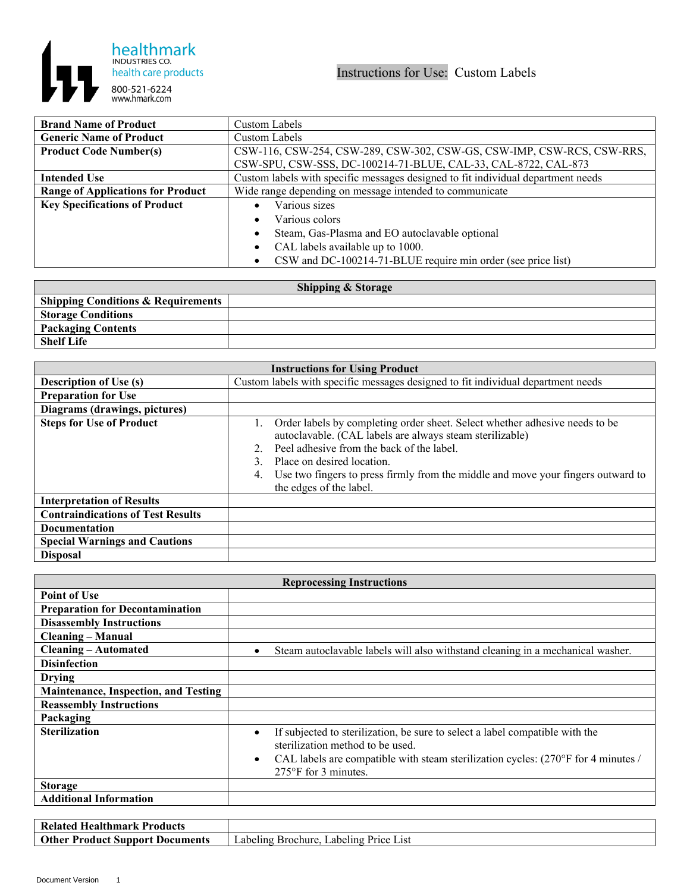

| <b>Brand Name of Product</b>             | Custom Labels                                                                    |
|------------------------------------------|----------------------------------------------------------------------------------|
| <b>Generic Name of Product</b>           | Custom Labels                                                                    |
| <b>Product Code Number(s)</b>            | CSW-116, CSW-254, CSW-289, CSW-302, CSW-GS, CSW-IMP, CSW-RCS, CSW-RRS,           |
|                                          | CSW-SPU, CSW-SSS, DC-100214-71-BLUE, CAL-33, CAL-8722, CAL-873                   |
| <b>Intended Use</b>                      | Custom labels with specific messages designed to fit individual department needs |
| <b>Range of Applications for Product</b> | Wide range depending on message intended to communicate                          |
| <b>Key Specifications of Product</b>     | Various sizes                                                                    |
|                                          | Various colors                                                                   |
|                                          | Steam, Gas-Plasma and EO autoclavable optional                                   |
|                                          | CAL labels available up to 1000.                                                 |
|                                          | CSW and DC-100214-71-BLUE require min order (see price list)                     |

| <b>Shipping &amp; Storage</b>                   |  |  |
|-------------------------------------------------|--|--|
| <sup>1</sup> Shipping Conditions & Requirements |  |  |
| <b>Storage Conditions</b>                       |  |  |
| <b>Packaging Contents</b>                       |  |  |
| <b>Shelf Life</b>                               |  |  |

| <b>Instructions for Using Product</b>    |                                                                                                                                                                                                                                                                                                                                         |  |
|------------------------------------------|-----------------------------------------------------------------------------------------------------------------------------------------------------------------------------------------------------------------------------------------------------------------------------------------------------------------------------------------|--|
| <b>Description of Use (s)</b>            | Custom labels with specific messages designed to fit individual department needs                                                                                                                                                                                                                                                        |  |
| <b>Preparation for Use</b>               |                                                                                                                                                                                                                                                                                                                                         |  |
| Diagrams (drawings, pictures)            |                                                                                                                                                                                                                                                                                                                                         |  |
| <b>Steps for Use of Product</b>          | Order labels by completing order sheet. Select whether adhesive needs to be<br>autoclavable. (CAL labels are always steam sterilizable)<br>Peel adhesive from the back of the label.<br>Place on desired location.<br>Use two fingers to press firmly from the middle and move your fingers outward to<br>4.<br>the edges of the label. |  |
| <b>Interpretation of Results</b>         |                                                                                                                                                                                                                                                                                                                                         |  |
| <b>Contraindications of Test Results</b> |                                                                                                                                                                                                                                                                                                                                         |  |
| <b>Documentation</b>                     |                                                                                                                                                                                                                                                                                                                                         |  |
| <b>Special Warnings and Cautions</b>     |                                                                                                                                                                                                                                                                                                                                         |  |
| <b>Disposal</b>                          |                                                                                                                                                                                                                                                                                                                                         |  |

| <b>Reprocessing Instructions</b>            |                                                                                                                                                                                                                                                                             |  |
|---------------------------------------------|-----------------------------------------------------------------------------------------------------------------------------------------------------------------------------------------------------------------------------------------------------------------------------|--|
| <b>Point of Use</b>                         |                                                                                                                                                                                                                                                                             |  |
| <b>Preparation for Decontamination</b>      |                                                                                                                                                                                                                                                                             |  |
| <b>Disassembly Instructions</b>             |                                                                                                                                                                                                                                                                             |  |
| <b>Cleaning – Manual</b>                    |                                                                                                                                                                                                                                                                             |  |
| <b>Cleaning - Automated</b>                 | Steam autoclavable labels will also withstand cleaning in a mechanical washer.<br>$\bullet$                                                                                                                                                                                 |  |
| <b>Disinfection</b>                         |                                                                                                                                                                                                                                                                             |  |
| <b>Drying</b>                               |                                                                                                                                                                                                                                                                             |  |
| <b>Maintenance, Inspection, and Testing</b> |                                                                                                                                                                                                                                                                             |  |
| <b>Reassembly Instructions</b>              |                                                                                                                                                                                                                                                                             |  |
| Packaging                                   |                                                                                                                                                                                                                                                                             |  |
| <b>Sterilization</b>                        | If subjected to sterilization, be sure to select a label compatible with the<br>$\bullet$<br>sterilization method to be used.<br>CAL labels are compatible with steam sterilization cycles: $(270^{\circ}F)$ for 4 minutes /<br>$\bullet$<br>$275^{\circ}$ F for 3 minutes. |  |
| <b>Storage</b>                              |                                                                                                                                                                                                                                                                             |  |
| <b>Additional Information</b>               |                                                                                                                                                                                                                                                                             |  |

| <b>Healthmark Products</b><br>Related      |                                                     |
|--------------------------------------------|-----------------------------------------------------|
| Other<br>7. Product Support<br>: Documents | Labeling "<br>Labeling Price L<br>List<br>Brochure. |